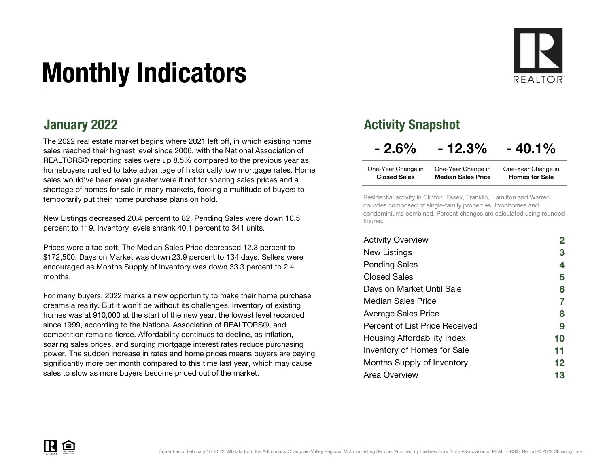# Monthly Indicators



The 2022 real estate market begins where 2021 left off, in which existing home sales reached their highest level since 2006, with the National Association of REALTORS® reporting sales were up 8.5% compared to the previous year as homebuyers rushed to take advantage of historically low mortgage rates. Home sales would've been even greater were it not for soaring sales prices and a shortage of homes for sale in many markets, forcing a multitude of buyers to temporarily put their home purchase plans on hold.

New Listings decreased 20.4 percent to 82. Pending Sales were down 10.5 percent to 119. Inventory levels shrank 40.1 percent to 341 units.

Prices were a tad soft. The Median Sales Price decreased 12.3 percent to \$172,500. Days on Market was down 23.9 percent to 134 days. Sellers were encouraged as Months Supply of Inventory was down 33.3 percent to 2.4 months.

For many buyers, 2022 marks a new opportunity to make their home purchase dreams a reality. But it won't be without its challenges. Inventory of existing homes was at 910,000 at the start of the new year, the lowest level recorded since 1999, according to the National Association of REALTORS®, and competition remains fierce. Affordability continues to decline, as inflation, soaring sales prices, and surging mortgage interest rates reduce purchasing power. The sudden increase in rates and home prices means buyers are paying significantly more per month compared to this time last year, which may cause sales to slow as more buyers become priced out of the market.

#### January 2022 **Activity Snapshot** Activity Snapshot

### $-2.6\% - 12.3\% - 40.1\%$

| One-Year Change in  | One-Year Change in        | One-Year Change in    |
|---------------------|---------------------------|-----------------------|
| <b>Closed Sales</b> | <b>Median Sales Price</b> | <b>Homes for Sale</b> |

Residential activity in Clinton, Essex, Franklin, Hamilton and Warren counties composed of single-family properties, townhomes and condominiums combined. Percent changes are calculated using rounded figures.

| <b>Activity Overview</b>           |                   |
|------------------------------------|-------------------|
| New Listings                       | 3                 |
| <b>Pending Sales</b>               | 4                 |
| <b>Closed Sales</b>                | 5                 |
| Days on Market Until Sale          | 6                 |
| Median Sales Price                 | 7                 |
| <b>Average Sales Price</b>         | 8                 |
| Percent of List Price Received     | 9                 |
| Housing Affordability Index        | 10                |
| <b>Inventory of Homes for Sale</b> | 11                |
| Months Supply of Inventory         | $12 \ \mathsf{ }$ |
| Area Overview                      | 13                |

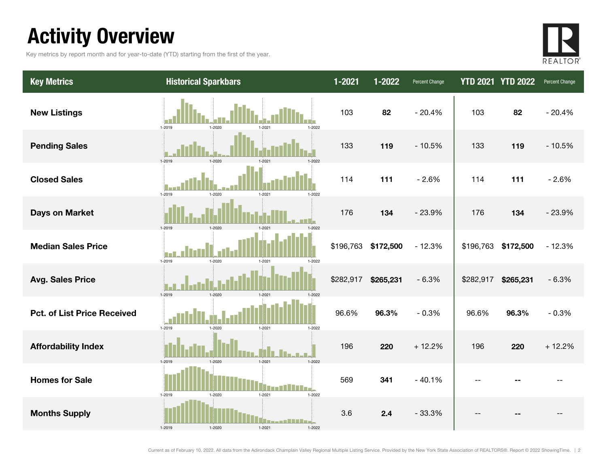### Activity Overview

Key metrics by report month and for year-to-date (YTD) starting from the first of the year.



| <b>Key Metrics</b>                 | <b>Historical Sparkbars</b>                      | $1 - 2021$ | 1-2022    | Percent Change |           | <b>YTD 2021 YTD 2022</b> | Percent Change |
|------------------------------------|--------------------------------------------------|------------|-----------|----------------|-----------|--------------------------|----------------|
| <b>New Listings</b>                | 1-2019<br>$1 - 2022$<br>$1 - 2020$<br>$1 - 2021$ | 103        | 82        | $-20.4%$       | 103       | 82                       | $-20.4%$       |
| <b>Pending Sales</b>               | 1-2019<br>1-2020<br>$1 - 202$                    | 133        | 119       | $-10.5%$       | 133       | 119                      | $-10.5%$       |
| <b>Closed Sales</b>                | 1-2019<br>$1 - 2020$<br>$1 - 2021$<br>1-2022     | 114        | 111       | $-2.6%$        | 114       | 111                      | $-2.6%$        |
| <b>Days on Market</b>              | 1-2019<br>$1 - 2020$                             | 176        | 134       | $-23.9%$       | 176       | 134                      | $-23.9%$       |
| <b>Median Sales Price</b>          | 1-2019<br>$1 - 2020$<br>$1 - 2021$<br>1-2022     | \$196,763  | \$172,500 | $-12.3%$       | \$196,763 | \$172,500                | $-12.3%$       |
| <b>Avg. Sales Price</b>            | 1-2019<br>1-2020<br>$1 - 202$<br>1-2022          | \$282,917  | \$265,231 | $-6.3%$        | \$282,917 | \$265,231                | $-6.3%$        |
| <b>Pct. of List Price Received</b> | 1-2019<br>1-2020<br>$1 - 2021$<br>$1 - 2022$     | 96.6%      | 96.3%     | $-0.3%$        | 96.6%     | 96.3%                    | $-0.3%$        |
| <b>Affordability Index</b>         | 1-2021<br>1-2022<br>1-2019<br>1-2020             | 196        | 220       | $+12.2%$       | 196       | 220                      | $+12.2%$       |
| <b>Homes for Sale</b>              | $1 - 2022$<br>1-2019<br>$1 - 2020$<br>$1 - 2021$ | 569        | 341       | $-40.1%$       | --        |                          |                |
| <b>Months Supply</b>               | 1-2019<br>1-2021<br>$1 - 2022$                   | 3.6        | 2.4       | $-33.3%$       |           |                          |                |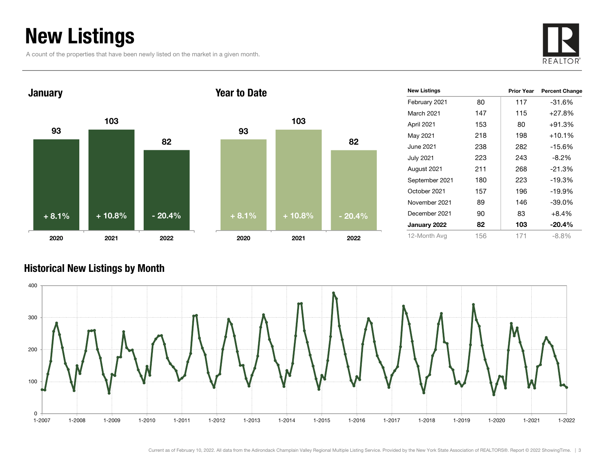### New Listings

A count of the properties that have been newly listed on the market in a given month.





| 93      | 103      |          |
|---------|----------|----------|
|         |          | 82       |
|         |          |          |
|         |          |          |
| $+8.1%$ | $+10.8%$ | $-20.4%$ |
| 2020    | 2021     | 2022     |

| <b>New Listings</b> |     | <b>Prior Year</b> | <b>Percent Change</b> |
|---------------------|-----|-------------------|-----------------------|
| February 2021       | 80  | 117               | -31.6%                |
| March 2021          | 147 | 115               | $+27.8%$              |
| April 2021          | 153 | 80                | $+91.3%$              |
| May 2021            | 218 | 198               | $+10.1%$              |
| June 2021           | 238 | 282               | $-15.6%$              |
| July 2021           | 223 | 243               | $-8.2\%$              |
| August 2021         | 211 | 268               | $-21.3%$              |
| September 2021      | 180 | 223               | $-19.3%$              |
| October 2021        | 157 | 196               | -19.9%                |
| November 2021       | 89  | 146               | -39.0%                |
| December 2021       | 90  | 83                | $+8.4%$               |
| January 2022        | 82  | 103               | $-20.4\%$             |
| 12-Month Avg        | 156 | 171               | $-8.8%$               |

#### Historical New Listings by Month

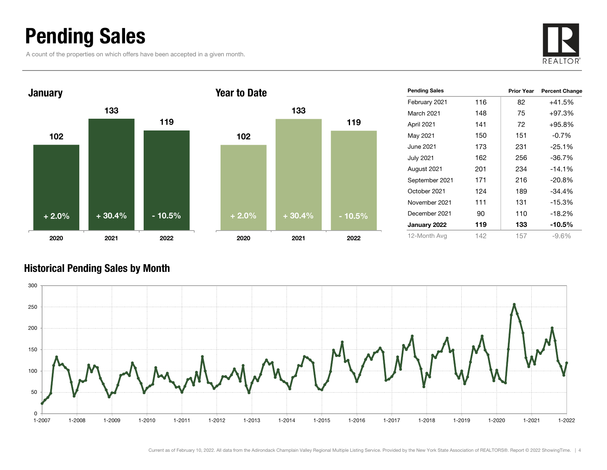### Pending Sales

A count of the properties on which offers have been accepted in a given month.





#### Historical Pending Sales by Month

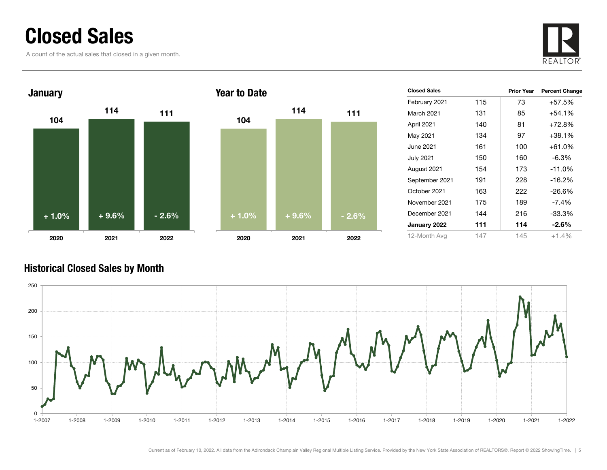### Closed Sales

A count of the actual sales that closed in a given month.





| <b>Closed Sales</b> |     | <b>Prior Year</b> | <b>Percent Change</b> |
|---------------------|-----|-------------------|-----------------------|
| February 2021       | 115 | 73                | +57.5%                |
| March 2021          | 131 | 85                | $+54.1%$              |
| April 2021          | 140 | 81                | +72.8%                |
| May 2021            | 134 | 97                | +38.1%                |
| June 2021           | 161 | 100               | +61.0%                |
| <b>July 2021</b>    | 150 | 160               | -6.3%                 |
| August 2021         | 154 | 173               | $-11.0%$              |
| September 2021      | 191 | 228               | $-16.2%$              |
| October 2021        | 163 | 222               | $-26.6%$              |
| November 2021       | 175 | 189               | -7.4%                 |
| December 2021       | 144 | 216               | $-33.3\%$             |
| January 2022        | 111 | 114               | $-2.6\%$              |
| 12-Month Avg        | 147 | 145               | $+1.4%$               |

#### Historical Closed Sales by Month

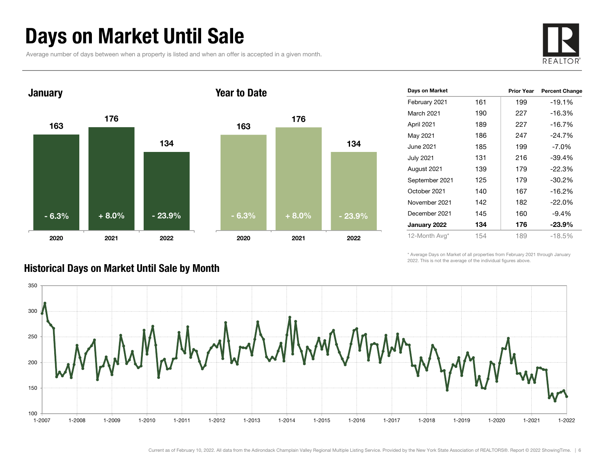### Days on Market Until Sale

Average number of days between when a property is listed and when an offer is accepted in a given month.





| Days on Market   |     | <b>Prior Year</b> | <b>Percent Change</b> |
|------------------|-----|-------------------|-----------------------|
| February 2021    | 161 | 199               | $-19.1%$              |
| March 2021       | 190 | 227               | $-16.3%$              |
| April 2021       | 189 | 227               | $-16.7\%$             |
| May 2021         | 186 | 247               | $-24.7%$              |
| June 2021        | 185 | 199               | $-7.0\%$              |
| <b>July 2021</b> | 131 | 216               | $-39.4%$              |
| August 2021      | 139 | 179               | $-22.3%$              |
| September 2021   | 125 | 179               | $-30.2%$              |
| October 2021     | 140 | 167               | $-16.2%$              |
| November 2021    | 142 | 182               | $-22.0%$              |
| December 2021    | 145 | 160               | $-9.4%$               |
| January 2022     | 134 | 176               | $-23.9%$              |
| 12-Month Avg*    | 154 | 189               | $-18.5%$              |

\* Average Days on Market of all properties from February 2021 through January 2022. This is not the average of the individual figures above.



#### Historical Days on Market Until Sale by Month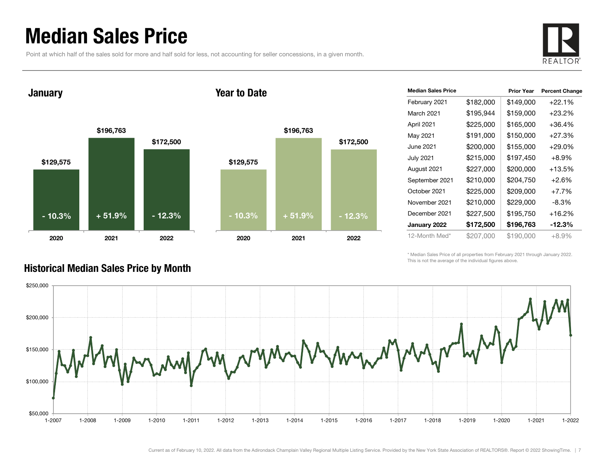### Median Sales Price

Point at which half of the sales sold for more and half sold for less, not accounting for seller concessions, in a given month.



January

#### Year to Date



| <b>Median Sales Price</b> |           | <b>Prior Year</b> | <b>Percent Change</b> |
|---------------------------|-----------|-------------------|-----------------------|
| February 2021             | \$182,000 | \$149,000         | $+22.1%$              |
| March 2021                | \$195,944 | \$159,000         | $+23.2%$              |
| April 2021                | \$225,000 | \$165,000         | $+36.4%$              |
| May 2021                  | \$191,000 | \$150,000         | $+27.3%$              |
| June 2021                 | \$200,000 | \$155,000         | $+29.0%$              |
| <b>July 2021</b>          | \$215,000 | \$197,450         | $+8.9\%$              |
| August 2021               | \$227,000 | \$200,000         | $+13.5%$              |
| September 2021            | \$210,000 | \$204,750         | $+2.6%$               |
| October 2021              | \$225,000 | \$209,000         | $+7.7\%$              |
| November 2021             | \$210,000 | \$229,000         | -8.3%                 |
| December 2021             | \$227,500 | \$195,750         | $+16.2%$              |
| January 2022              | \$172,500 | \$196,763         | $-12.3\%$             |
| 12-Month Med*             | \$207.000 | \$190,000         | $+8.9\%$              |

\* Median Sales Price of all properties from February 2021 through January 2022. This is not the average of the individual figures above.



#### Historical Median Sales Price by Month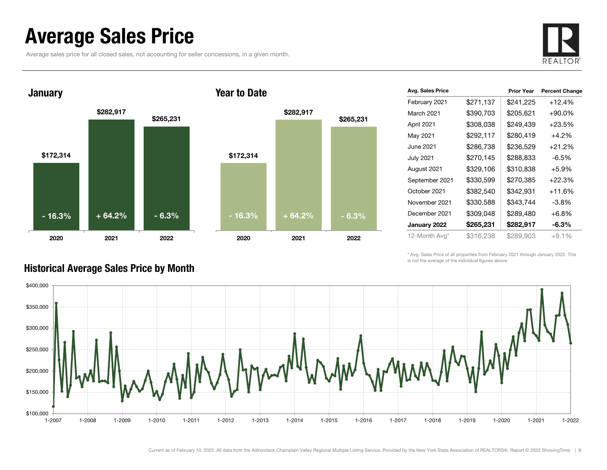### Average Sales Price

Average sales price for all closed sales, not accounting for seller concessions, in a given month.





| Avg. Sales Price |           | <b>Prior Year</b> | <b>Percent Change</b> |
|------------------|-----------|-------------------|-----------------------|
| February 2021    | \$271,137 | \$241,225         | $+12.4%$              |
| March 2021       | \$390,703 | \$205,621         | $+90.0\%$             |
| April 2021       | \$308,038 | \$249,439         | $+23.5%$              |
| May 2021         | \$292,117 | \$280,419         | $+4.2%$               |
| June 2021        | \$286,738 | \$236,529         | $+21.2%$              |
| <b>July 2021</b> | \$270,145 | \$288,833         | $-6.5%$               |
| August 2021      | \$329,106 | \$310,838         | $+5.9%$               |
| September 2021   | \$330,599 | \$270,385         | $+22.3%$              |
| October 2021     | \$382,540 | \$342,931         | $+11.6%$              |
| November 2021    | \$330,588 | \$343,744         | $-3.8\%$              |
| December 2021    | \$309,048 | \$289,480         | $+6.8%$               |
| January 2022     | \$265,231 | \$282,917         | $-6.3\%$              |
| 12-Month Avg*    | \$316,238 | \$289,903         | $+9.1%$               |

\* Avg. Sales Price of all properties from February 2021 through January 2022. This is not the average of the individual figures above.



#### Historical Average Sales Price by Month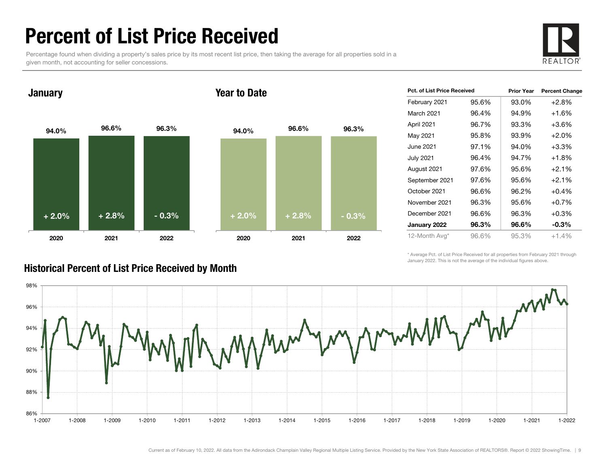### Percent of List Price Received

Percentage found when dividing a property's sales price by its most recent list price, then taking the average for all properties sold in a given month, not accounting for seller concessions.



January

#### Year to Date



| Pct. of List Price Received |       | <b>Prior Year</b> | <b>Percent Change</b> |
|-----------------------------|-------|-------------------|-----------------------|
| February 2021               | 95.6% | 93.0%             | $+2.8%$               |
| March 2021                  | 96.4% | 94.9%             | $+1.6%$               |
| April 2021                  | 96.7% | 93.3%             | $+3.6%$               |
| May 2021                    | 95.8% | 93.9%             | $+2.0%$               |
| June 2021                   | 97.1% | 94.0%             | $+3.3%$               |
| July 2021                   | 96.4% | 94.7%             | $+1.8%$               |
| August 2021                 | 97.6% | 95.6%             | $+2.1%$               |
| September 2021              | 97.6% | 95.6%             | $+2.1%$               |
| October 2021                | 96.6% | 96.2%             | $+0.4%$               |
| November 2021               | 96.3% | 95.6%             | $+0.7%$               |
| December 2021               | 96.6% | 96.3%             | $+0.3%$               |
| January 2022                | 96.3% | 96.6%             | $-0.3%$               |
| 12-Month Avg*               | 96.6% | 95.3%             | $+1.4%$               |

\* Average Pct. of List Price Received for all properties from February 2021 through January 2022. This is not the average of the individual figures above.



#### Historical Percent of List Price Received by Month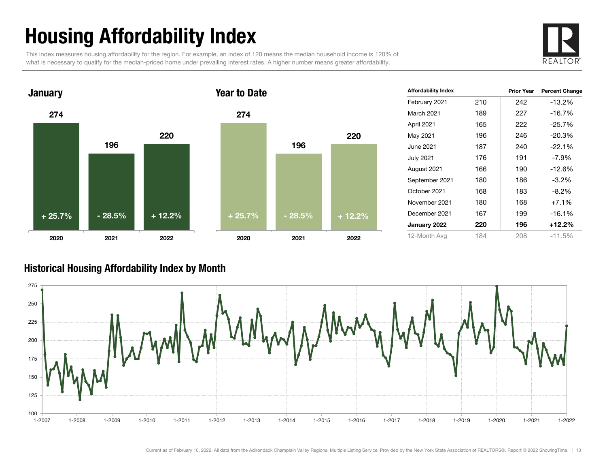# Housing Affordability Index

This index measures housing affordability for the region. For example, an index of 120 means the median household income is 120% of what is necessary to qualify for the median-priced home under prevailing interest rates. A higher number means greater affordability.





| <b>Affordability Index</b> |     | <b>Prior Year</b> | <b>Percent Change</b> |
|----------------------------|-----|-------------------|-----------------------|
| February 2021              | 210 | 242               | -13.2%                |
| March 2021                 | 189 | 227               | $-16.7%$              |
| April 2021                 | 165 | 222               | $-25.7%$              |
| May 2021                   | 196 | 246               | $-20.3%$              |
| June 2021                  | 187 | 240               | $-22.1%$              |
| <b>July 2021</b>           | 176 | 191               | $-7.9\%$              |
| August 2021                | 166 | 190               | $-12.6%$              |
| September 2021             | 180 | 186               | $-3.2\%$              |
| October 2021               | 168 | 183               | $-8.2\%$              |
| November 2021              | 180 | 168               | $+7.1%$               |
| December 2021              | 167 | 199               | $-16.1%$              |
| January 2022               | 220 | 196               | +12.2%                |
| 12-Month Avg               | 184 | 208               | $-11.5%$              |

#### Historical Housing Affordability Index by Mont h

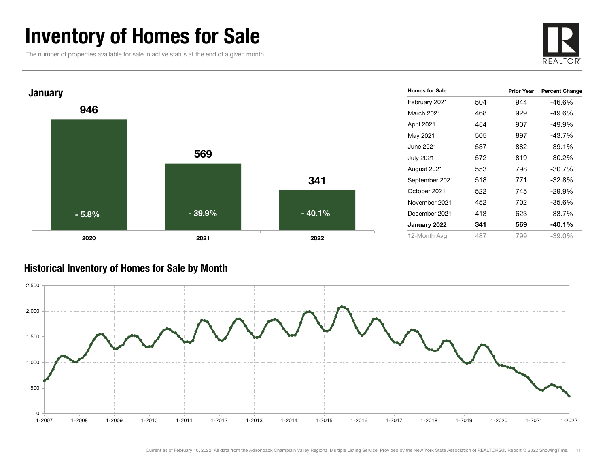### Inventory of Homes for Sale

The number of properties available for sale in active status at the end of a given month.





#### Historical Inventory of Homes for Sale by Month

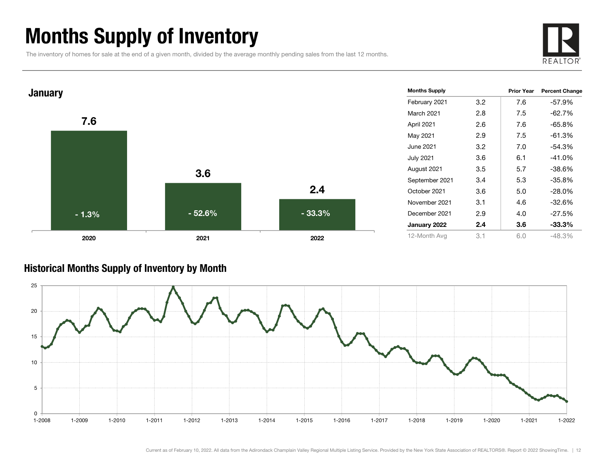### Months Supply of Inventory

The inventory of homes for sale at the end of a given month, divided by the average monthly pending sales from the last 12 months.





#### Historical Months Supply of Inventory by Month